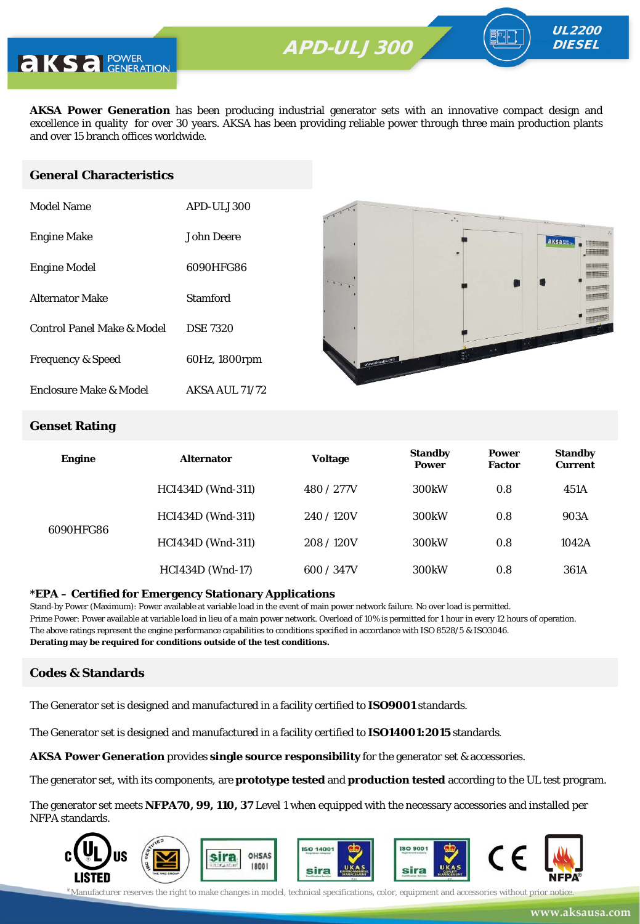

**AKSA Power Generation** has been producing industrial generator sets with an innovative compact design and excellence in quality for over 30 years. AKSA has been providing reliable power through three main production plants and over 15 branch offices worldwide.

#### **General Characteristics**

| Model Name                   | APD-ULJ300            |
|------------------------------|-----------------------|
| <b>Engine Make</b>           | John Deere            |
| <b>Engine Model</b>          | 6090HFG86             |
| Alternator Make              | Stamford              |
| Control Panel Make & Model   | <b>DSE 7320</b>       |
| <b>Frequency &amp; Speed</b> | 60Hz, 1800rpm         |
| Enclosure Make & Model       | <b>AKSA AUL 71/72</b> |



UL2200 **DIESEL** 

#### **Genset Rating**

| <b>Engine</b> | <b>Alternator</b>        | <b>Voltage</b> | <b>Standby</b><br><b>Power</b> | <b>Power</b><br><b>Factor</b> | <b>Standby</b><br><b>Current</b> |
|---------------|--------------------------|----------------|--------------------------------|-------------------------------|----------------------------------|
| 6090HFG86     | <b>HCI434D</b> (Wnd-311) | 480 / 277V     | 300 <sub>k</sub> W             | 0.8                           | 451A                             |
|               | HCI434D (Wnd-311)        | 240/120V       | 300 <sub>k</sub> W             | 0.8                           | 903A                             |
|               | HCI434D (Wnd-311)        | 208/120V       | 300 <sub>k</sub> W             | 0.8                           | 1042A                            |
|               | <b>HCI434D</b> (Wnd-17)  | 600 / 347V     | 300 <sub>k</sub> W             | 0.8                           | 361A                             |

#### **\*EPA – Certified for Emergency Stationary Applications**

Stand-by Power (Maximum): Power available at variable load in the event of main power network failure. No over load is permitted. Prime Power: Power available at variable load in lieu of a main power network. Overload of 10% is permitted for 1 hour in every 12 hours of operation. The above ratings represent the engine performance capabilities to conditions specified in accordance with ISO 8528/5 & ISO3046. **Derating may be required for conditions outside of the test conditions.**

#### **Codes & Standards**

The Generator set is designed and manufactured in a facility certified to **ISO9001** standards.

The Generator set is designed and manufactured in a facility certified to **ISO14001:2015** standards.

**AKSA Power Generation** provides **single source responsibility** for the generator set & accessories.

The generator set, with its components, are **prototype tested** and **production tested** according to the UL test program.

The generator set meets **NFPA70, 99, 110, 37** Level 1 when equipped with the necessary accessories and installed per NFPA standards.

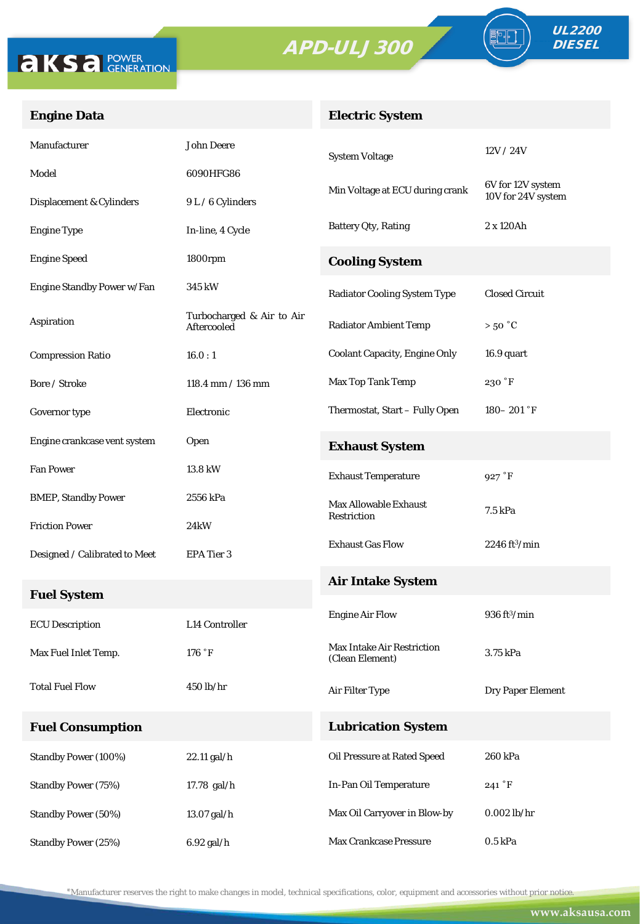



FO

### **Engine Data**

## **Electric System**

| Manufacturer                  | <b>John Deere</b>                        | <b>System Voltage</b>                                | 12V/24V                        |
|-------------------------------|------------------------------------------|------------------------------------------------------|--------------------------------|
| Model                         | 6090HFG86                                |                                                      | 6V for 12V system              |
| Displacement & Cylinders      | 9 L / 6 Cylinders                        | Min Voltage at ECU during crank                      | 10V for 24V system             |
| <b>Engine Type</b>            | In-line, 4 Cycle                         | <b>Battery Qty, Rating</b>                           | 2 x 120Ah                      |
| <b>Engine Speed</b>           | 1800rpm                                  | <b>Cooling System</b>                                |                                |
| Engine Standby Power w/Fan    | 345 kW                                   | <b>Radiator Cooling System Type</b>                  | <b>Closed Circuit</b>          |
| Aspiration                    | Turbocharged & Air to Air<br>Aftercooled | <b>Radiator Ambient Temp</b>                         | $>50\text{ °C}$                |
| <b>Compression Ratio</b>      | 16.0:1                                   | <b>Coolant Capacity, Engine Only</b>                 | 16.9 quart                     |
| Bore / Stroke                 | 118.4 mm / 136 mm                        | Max Top Tank Temp                                    | 230 °F                         |
| Governor type                 | Electronic                               | Thermostat, Start - Fully Open                       | $180 - 201$ °F                 |
| Engine crankcase vent system  | Open                                     | <b>Exhaust System</b>                                |                                |
| <b>Fan Power</b>              | 13.8 kW                                  | <b>Exhaust Temperature</b>                           | 927 °F                         |
| <b>BMEP, Standby Power</b>    | 2556 kPa                                 | <b>Max Allowable Exhaust</b>                         | 7.5 kPa                        |
| <b>Friction Power</b>         | 24kW                                     | Restriction                                          |                                |
| Designed / Calibrated to Meet | EPA Tier 3                               | <b>Exhaust Gas Flow</b>                              | $2246 \text{ ft}^3/\text{min}$ |
| <b>Fuel System</b>            |                                          | <b>Air Intake System</b>                             |                                |
| <b>ECU</b> Description        | <b>L14 Controller</b>                    | <b>Engine Air Flow</b>                               | $936 \text{ ft}^3/\text{min}$  |
| Max Fuel Inlet Temp.          | 176 °F                                   | <b>Max Intake Air Restriction</b><br>(Clean Element) | 3.75 kPa                       |
| <b>Total Fuel Flow</b>        | 450 lb/hr                                | Air Filter Type                                      | Dry Paper Element              |
| <b>Fuel Consumption</b>       |                                          | <b>Lubrication System</b>                            |                                |
| <b>Standby Power (100%)</b>   | 22.11 gal/h                              | Oil Pressure at Rated Speed                          | 260 kPa                        |
| <b>Standby Power (75%)</b>    | 17.78 gal/h                              | In-Pan Oil Temperature                               | 241 °F                         |
| <b>Standby Power (50%)</b>    | 13.07 gal/h                              | Max Oil Carryover in Blow-by                         | $0.002$ lb/hr                  |
| <b>Standby Power (25%)</b>    | 6.92 gal/h                               | Max Crankcase Pressure                               | 0.5 kPa                        |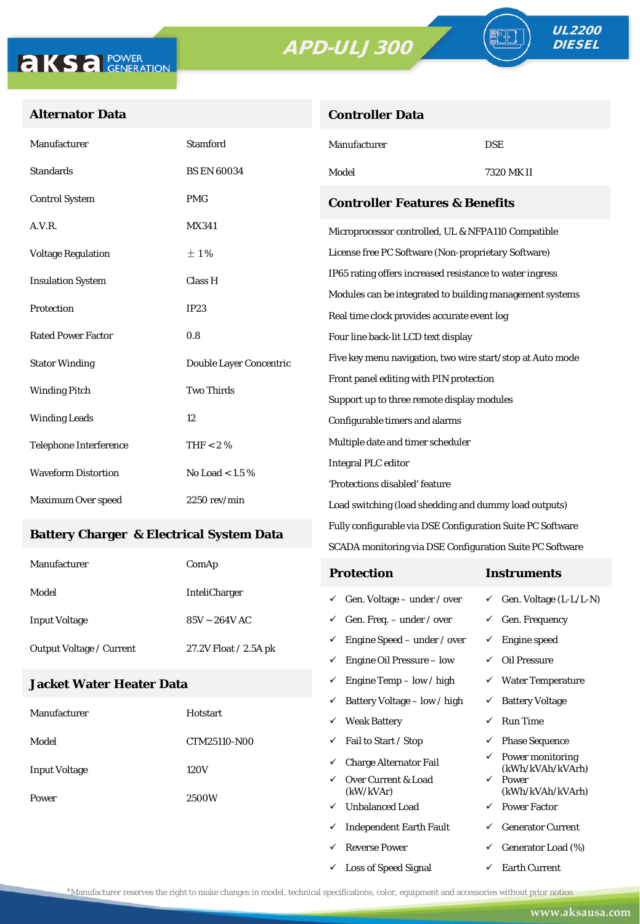**Controller Data**



#### **Alternator Data**

| Manufacturer                                     | <b>Stamford</b>                           | Manufacturer                                               | <b>DSE</b>                                 |  |  |
|--------------------------------------------------|-------------------------------------------|------------------------------------------------------------|--------------------------------------------|--|--|
| <b>Standards</b>                                 | <b>BS EN 60034</b>                        | Model                                                      | 7320 MK II                                 |  |  |
| <b>Control System</b>                            | <b>PMG</b>                                | <b>Controller Features &amp; Benefits</b>                  |                                            |  |  |
| A.V.R.                                           | <b>MX341</b>                              | Microprocessor controlled, UL & NFPA110 Compatible         |                                            |  |  |
| <b>Voltage Regulation</b>                        | $\pm 1\%$                                 | License free PC Software (Non-proprietary Software)        |                                            |  |  |
| <b>Insulation System</b>                         | Class H                                   | IP65 rating offers increased resistance to water ingress   |                                            |  |  |
|                                                  |                                           | Modules can be integrated to building management systems   |                                            |  |  |
| Protection                                       | <b>IP23</b>                               | Real time clock provides accurate event log                |                                            |  |  |
| <b>Rated Power Factor</b>                        | 0.8                                       | Four line back-lit LCD text display                        |                                            |  |  |
| <b>Stator Winding</b>                            | Double Layer Concentric                   | Five key menu navigation, two wire start/stop at Auto mode |                                            |  |  |
|                                                  |                                           | Front panel editing with PIN protection                    |                                            |  |  |
|                                                  | <b>Two Thirds</b><br><b>Winding Pitch</b> |                                                            | Support up to three remote display modules |  |  |
| <b>Winding Leads</b>                             | 12                                        | Configurable timers and alarms                             |                                            |  |  |
| <b>Telephone Interference</b>                    | THF $< 2 \%$                              | Multiple date and timer scheduler                          |                                            |  |  |
| <b>Waveform Distortion</b><br>No Load $< 1.5 \%$ |                                           | <b>Integral PLC editor</b>                                 |                                            |  |  |
|                                                  |                                           | 'Protections disabled' feature                             |                                            |  |  |
| Maximum Over speed                               | $2250$ rev/min                            | Load switching (load shedding and dummy load outputs)      |                                            |  |  |

#### **Battery Charger & Electrical System Data**

| Manufacturer                    | ComAp                 | <b>Protection</b>                        | Instruments                         |
|---------------------------------|-----------------------|------------------------------------------|-------------------------------------|
| Model                           | <b>InteliCharger</b>  | $\checkmark$ Gen. Voltage – under / over | $\checkmark$ Gen. Voltage (L-L/L-N) |
| <b>Input Voltage</b>            | $85V \sim 264V$ AC    | $\checkmark$ Gen. Freq. – under / over   | $\checkmark$ Gen. Frequency         |
| <b>Output Voltage / Current</b> | 27.2V Float / 2.5A pk | $\checkmark$ Engine Speed – under / over | Engine speed                        |
|                                 |                       | Engine Oil Pressure – low<br>✓           | Oil Pressure                        |

Fully configurable via DSE Configuration Suite PC Software SCADA monitoring via DSE Configuration Suite PC Software

 $\checkmark$  Engine Temp – low / high  $\checkmark$  Water Temperature

 $\checkmark$  Loss of Speed Signal  $\checkmark$  Earth Current

### **Jacket Water Heater Data**

|                      |              | ✓            | Battery Voltage – low / high     | ✓            | <b>Battery Voltage</b>               |
|----------------------|--------------|--------------|----------------------------------|--------------|--------------------------------------|
| Manufacturer         | Hotstart     | ✓            | <b>Weak Battery</b>              | $\checkmark$ | <b>Run Time</b>                      |
| Model                | CTM25110-N00 | ✓            | Fail to Start / Stop             | $\checkmark$ | <b>Phase Sequence</b>                |
| <b>Input Voltage</b> | 120V         | ✓            | Charge Alternator Fail           | $\checkmark$ | Power monitoring<br>(kWh/kVAh/kVArh) |
| Power                |              | $\checkmark$ | Over Current & Load<br>(kW/kVAr) | $\checkmark$ | Power<br>(kWh/kVAh/kVArh)            |
|                      | 2500W<br>✓   |              | <b>Unbalanced Load</b>           | $\checkmark$ | <b>Power Factor</b>                  |
|                      |              | ✓            | <b>Independent Earth Fault</b>   | ✓            | <b>Generator Current</b>             |
|                      |              | ✓            | <b>Reverse Power</b>             | $\checkmark$ | Generator Load (%)                   |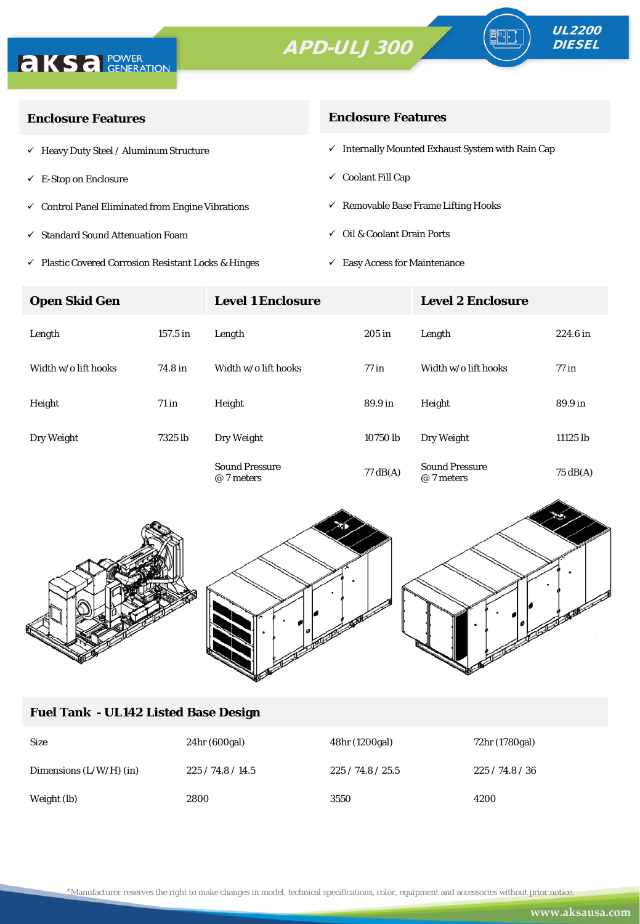



∘⊪

| <b>Enclosure Features</b>                                    | <b>Enclosure Features</b>                                    |  |  |
|--------------------------------------------------------------|--------------------------------------------------------------|--|--|
| $\checkmark$ Heavy Duty Steel / Aluminum Structure           | $\checkmark$ Internally Mounted Exhaust System with Rain Cap |  |  |
| $\checkmark$ E-Stop on Enclosure                             | $\checkmark$ Coolant Fill Cap                                |  |  |
| $\checkmark$ Control Panel Eliminated from Engine Vibrations | $\checkmark$ Removable Base Frame Lifting Hooks              |  |  |
| $\checkmark$ Standard Sound Attenuation Foam                 | $\checkmark$ Oil & Coolant Drain Ports                       |  |  |
|                                                              |                                                              |  |  |

 $\checkmark$ Plastic Covered Corrosion Resistant Locks & Hinges

 $\checkmark$  Easy Access for Maintenance

| <b>Open Skid Gen</b> |            | <b>Level 1 Enclosure</b>            |                    | <b>Level 2 Enclosure</b>            |                    |
|----------------------|------------|-------------------------------------|--------------------|-------------------------------------|--------------------|
| Length               | $157.5$ in | Length                              | $205$ in           | Length                              | $224.6$ in         |
| Width w/o lift hooks | 74.8 in    | Width w/o lift hooks                | $77$ in            | Width w/o lift hooks                | $77$ in            |
| Height               | $71$ in    | Height                              | 89.9 in            | Height                              | 89.9 in            |
| Dry Weight           | 7325 lb    | Dry Weight                          | 10750 lb           | Dry Weight                          | 11125 lb           |
|                      |            | <b>Sound Pressure</b><br>@ 7 meters | $77 \text{ dB}(A)$ | <b>Sound Pressure</b><br>@ 7 meters | $75 \text{ dB}(A)$ |



# **Fuel Tank - UL142 Listed Base Design**

| <b>Size</b>               | 24hr (600gal) | 48hr (1200gal) | 72hr (1780gal) |
|---------------------------|---------------|----------------|----------------|
| Dimensions $(L/W/H)$ (in) | 225/74.8/14.5 | 225/74.8/25.5  | 225/74.8/36    |
| Weight (lb)               | 2800          | 3550           | 4200           |